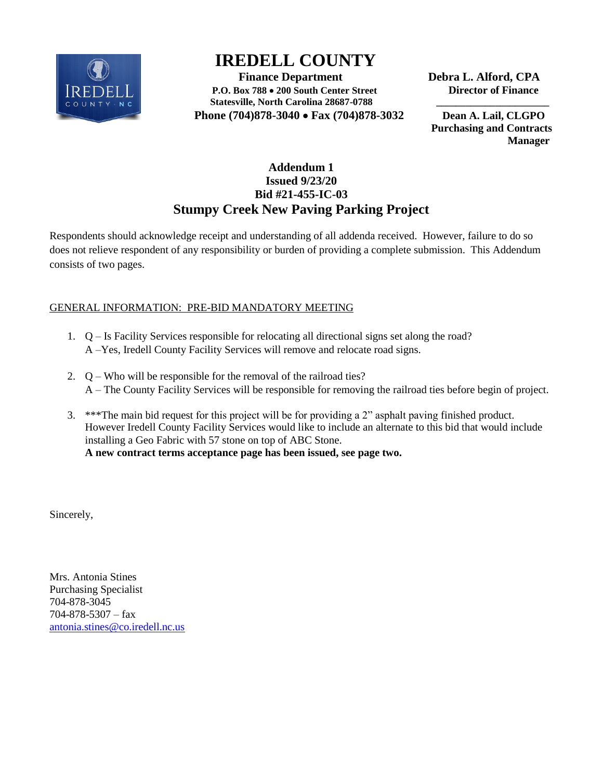

# **IREDELL COUNTY**

**Finance Department** Debra L. Alford, CPA **P.O. Box 788 200 South Center Street Director of Finance**  Statesville, North Carolina 28687-0788  **Phone (704)878-3040 Fax (704)878-3032 Dean A. Lail, CLGPO** 

 **Purchasing and Contracts Manager**

## **Addendum 1 Issued 9/23/20 Bid #21-455-IC-03 Stumpy Creek New Paving Parking Project**

Respondents should acknowledge receipt and understanding of all addenda received. However, failure to do so does not relieve respondent of any responsibility or burden of providing a complete submission. This Addendum consists of two pages.

### GENERAL INFORMATION: PRE-BID MANDATORY MEETING

- 1. Q Is Facility Services responsible for relocating all directional signs set along the road? A –Yes, Iredell County Facility Services will remove and relocate road signs.
- 2. Q Who will be responsible for the removal of the railroad ties? A – The County Facility Services will be responsible for removing the railroad ties before begin of project.
- 3. \*\*\*The main bid request for this project will be for providing a 2" asphalt paving finished product. However Iredell County Facility Services would like to include an alternate to this bid that would include installing a Geo Fabric with 57 stone on top of ABC Stone. **A new contract terms acceptance page has been issued, see page two.**

Sincerely,

Mrs. Antonia Stines Purchasing Specialist 704-878-3045 704-878-5307 – fax [antonia.stines@co.iredell.nc.us](mailto:antonia.stines@co.iredell.nc.us)